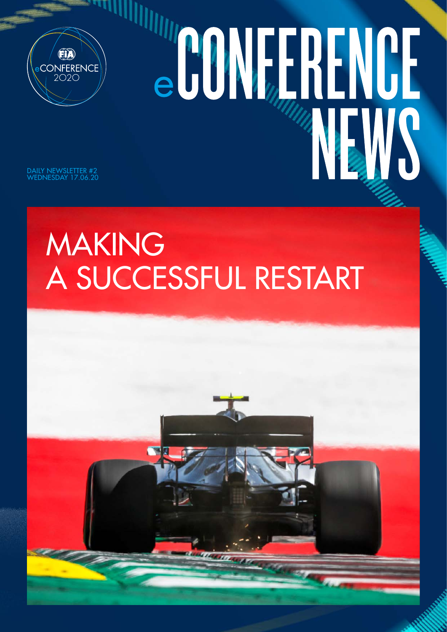

# CONFRENCE NEWS

DAILY NEWSLETTER #2 WEDNESDAY 17.06.20

## MAKING A SUCCESSFUL RESTART

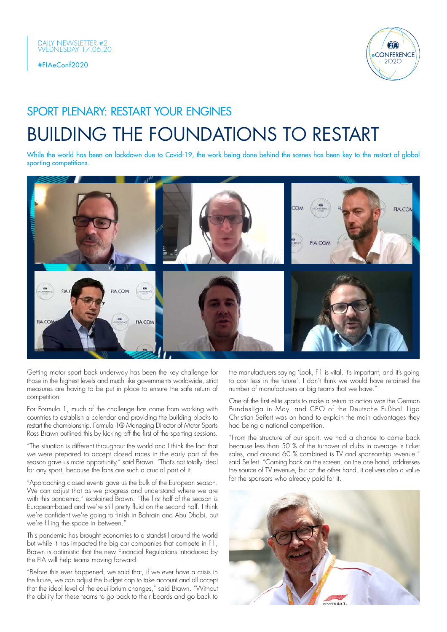



## BUILDING THE FOUNDATIONS TO RESTART SPORT PLENARY: RESTART YOUR ENGINES

While the world has been on lockdown due to Covid-19, the work being done behind the scenes has been key to the restart of global sporting competitions.



Getting motor sport back underway has been the key challenge for those in the highest levels and much like governments worldwide, strict measures are having to be put in place to ensure the safe return of competition.

For Formula 1, much of the challenge has come from working with countries to establish a calendar and providing the building blocks to restart the championship. Formula 1® Managing Director of Motor Sports Ross Brawn outlined this by kicking off the first of the sporting sessions.

"The situation is different throughout the world and I think the fact that we were prepared to accept closed races in the early part of the season gave us more opportunity," said Brawn. "That's not totally ideal for any sport, because the fans are such a crucial part of it.

"Approaching closed events gave us the bulk of the European season. We can adjust that as we progress and understand where we are with this pandemic," explained Brawn. "The first half of the season is European-based and we're still pretty fluid on the second half. I think we're confident we're going to finish in Bahrain and Abu Dhabi, but we're filling the space in between."

This pandemic has brought economies to a standstill around the world but while it has impacted the big car companies that compete in F1, Brawn is optimistic that the new Financial Regulations introduced by the FIA will help teams moving forward.

"Before this ever happened, we said that, if we ever have a crisis in the future, we can adjust the budget cap to take account and all accept that the ideal level of the equilibrium changes," said Brawn. "Without the ability for these teams to go back to their boards and go back to

the manufacturers saying 'Look, F1 is vital, it's important, and it's going to cost less in the future', I don't think we would have retained the number of manufacturers or big teams that we have.'

One of the first elite sports to make a return to action was the German Bundesliga in May, and CEO of the Deutsche Fußball Liga Christian Seifert was on hand to explain the main advantages they had being a national competition.

"From the structure of our sport, we had a chance to come back because less than 50 % of the turnover of clubs in average is ticket sales, and around 60 % combined is TV and sponsorship revenue," said Seifert. "Coming back on the screen, on the one hand, addresses the source of TV revenue, but on the other hand, it delivers also a value for the sponsors who already paid for it.

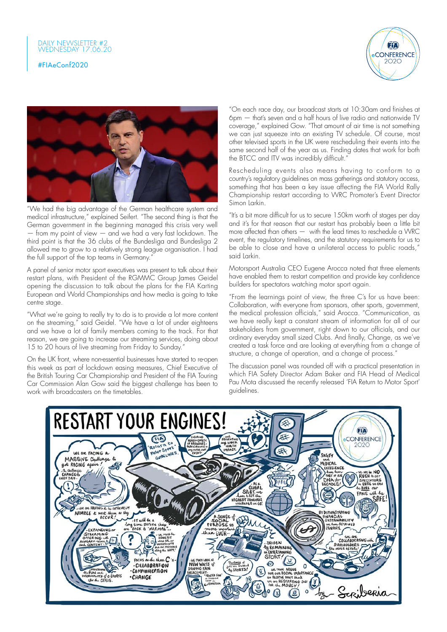



"We had the big advantage of the German healthcare system and medical infrastructure," explained Seifert. "The second thing is that the German government in the beginning managed this crisis very well — from my point of view — and we had a very fast lockdown. The third point is that the 36 clubs of the Bundesliga and Bundesliga 2 allowed me to grow to a relatively strong league organisation. I had the full support of the top teams in Germany."

A panel of senior motor sport executives was present to talk about their restart plans, with President of the RGMMC Group James Geidel opening the discussion to talk about the plans for the FIA Karting European and World Championships and how media is going to take centre stage.

"What we're going to really try to do is to provide a lot more content on the streaming," said Geidel. "We have a lot of under eighteens and we have a lot of family members coming to the track. For that reason, we are going to increase our streaming services, doing about 15 to 20 hours of live streaming from Friday to Sunday."

On the UK front, where non-essential businesses have started to re-open this week as part of lockdown easing measures, Chief Executive of the British Touring Car Championship and President of the FIA Touring Car Commission Alan Gow said the biggest challenge has been to work with broadcasters on the timetables.

"On each race day, our broadcast starts at 10:30am and finishes at 6pm — that's seven and a half hours of live radio and nationwide TV coverage," explained Gow. "That amount of air time is not something we can just squeeze into an existing TV schedule. Of course, most other televised sports in the UK were rescheduling their events into the same second half of the year as us. Finding dates that work for both the BTCC and ITV was incredibly difficult."

Rescheduling events also means having to conform to a country's regulatory guidelines on mass gatherings and statutory access, something that has been a key issue affecting the FIA World Rally Championship restart according to WRC Promoter's Event Director Simon Larkin.

"It's a bit more difficult for us to secure 150km worth of stages per day and it's for that reason that our restart has probably been a little bit more affected than others — with the lead times to reschedule a WRC event, the regulatory timelines, and the statutory requirements for us to be able to close and have a unilateral access to public roads,' said Larkin.

Motorsport Australia CEO Eugene Arocca noted that three elements have enabled them to restart competition and provide key confidence builders for spectators watching motor sport again.

"From the learnings point of view, the three C's for us have been: Collaboration, with everyone from sponsors, other sports, government, the medical profession officials," said Arocca. "Communication, as we have really kept a constant stream of information for all of our stakeholders from government, right down to our officials, and our ordinary everyday small sized Clubs. And finally, Change, as we've created a task force and are looking at everything from a change of structure, a change of operation, and a change of process."

The discussion panel was rounded off with a practical presentation in which FIA Safety Director Adam Baker and FIA Head of Medical Pau Mota discussed the recently released 'FIA Return to Motor Sport' guidelines.

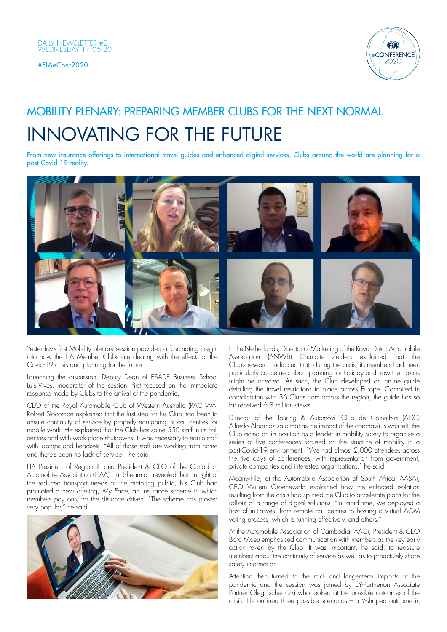



## INNOVATING FOR THE FUTURE MOBILITY PLENARY: PREPARING MEMBER CLUBS FOR THE NEXT NORMAL

From new insurance offerings to international travel guides and enhanced digital services, Clubs around the world are planning for a post-Covid-19 reality.



Yesterday's first Mobility plenary session provided a fascinating insight into how the FIA Member Clubs are dealing with the effects of the Covid-19 crisis and planning for the future.

Launching the discussion, Deputy Dean of ESADE Business School Luis Vives, moderator of the session, first focused on the immediate response made by Clubs to the arrival of the pandemic.

CEO of the Royal Automobile Club of Western Australia (RAC WA) Robert Slocombe explained that the first step for his Club had been to ensure continuity of service by properly equipping its call centres for mobile work. He explained that the Club has some 550 staff in its call centres and with work place shutdowns, it was necessary to equip staff with laptops and headsets. "All of those staff are working from home and there's been no lack of service," he said.

FIA President of Region III and President & CEO of the Canadian Automobile Association (CAA) Tim Shearman revealed that, in light of the reduced transport needs of the motoring public, his Club had promoted a new offering, *My Pace*, an insurance scheme in which members pay only for the distance driven. "The scheme has proved very popular," he said.



In the Netherlands, Director of Marketing of the Royal Dutch Automobile Association (ANWB) Charlotte Zelders explained that the Club's research indicated that, during the crisis, its members had been particularly concerned about planning for holiday and how their plans might be affected. As such, the Club developed an online quide detailing the travel restrictions in place across Europe. Compiled in coordination with 36 Clubs from across the region, the guide has so far received 6.8 million views.

Director of the Touring & Automóvil Club de Colombia (ACC) Alfredo Albornoz said that as the impact of the coronavirus was felt, the Club acted on its position as a leader in mobility safety to organise a series of five conferences focused on the structure of mobility in a post-Covid-19 environment. "We had almost 2,000 attendees across the five days of conferences, with representation from government, private companies and interested organisations," he said.

Meanwhile, at the Automobile Association of South Africa (AASA), CEO Willem Groenewald explained how the enforced isolation resulting from the crisis had spurred the Club to accelerate plans for the roll-out of a range of digital solutions. "In rapid time, we deployed a host of initiatives, from remote call centres to hosting a virtual AGM voting process, which is running effectively, and others."

At the Automobile Association of Cambodia (AAC), President & CEO Bora Moeu emphasised communication with members as the key early action taken by the Club. It was important, he said, to reassure members about the continuity of service as well as to proactively share safety information.

Attention then turned to the mid- and longer-term impacts of the pandemic and the session was joined by EY-Parthenon Associate Partner Oleg Tschernizki who looked at the possible outcomes of the crisis. He outlined three possible scenarios – a V-shaped outcome in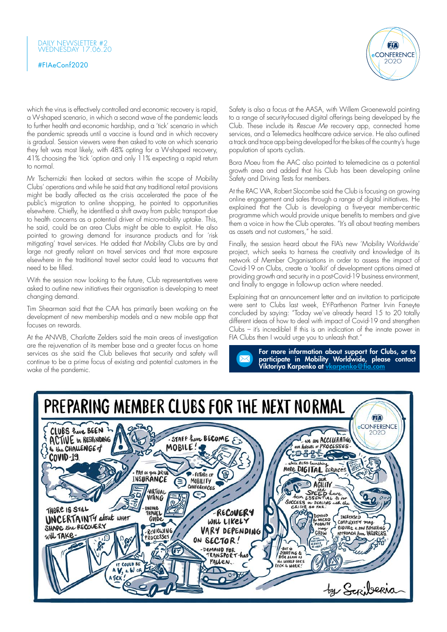#### DAILY NEWSLETTER #2 WEDNESDAY 17.06.20

#### #FIAeConf2020



which the virus is effectively controlled and economic recovery is rapid, a W-shaped scenario, in which a second wave of the pandemic leads to further health and economic hardship, and a 'tick' scenario in which the pandemic spreads until a vaccine is found and in which recovery is gradual. Session viewers were then asked to vote on which scenario they felt was most likely, with 48% opting for a W-shaped recovery, 41% choosing the 'tick 'option and only 11% expecting a rapid return to normal.

Mr Tschernizki then looked at sectors within the scope of Mobility Clubs' operations and while he said that any traditional retail provisions might be badly affected as the crisis accelerated the pace of the public's migration to online shopping, he pointed to opportunities elsewhere. Chiefly, he identified a shift away from public transport due to health concerns as a potential driver of micro-mobility uptake. This, he said, could be an area Clubs might be able to exploit. He also pointed to growing demand for insurance products and for 'risk mitigating' travel services. He added that Mobility Clubs are by and large not greatly reliant on travel services and that more exposure elsewhere in the traditional travel sector could lead to vacuums that need to be filled.

With the session now looking to the future, Club representatives were asked to outline new initiatives their organisation is developing to meet changing demand.

Tim Shearman said that the CAA has primarily been working on the development of new membership models and a new mobile app that focuses on rewards.

At the ANWB, Charlotte Zelders said the main areas of investigation are the rejuvenation of its member base and a greater focus on home services as she said the Club believes that security and safety will continue to be a prime focus of existing and potential customers in the wake of the pandemic.

Safety is also a focus at the AASA, with Willem Groenewald pointing to a range of security-focused digital offerings being developed by the Club. These include its *Rescue Me* recovery app, connected home services, and a Telemedics healthcare advice service. He also outlined a track and trace app being developed for the bikes of the country's huge population of sports cyclists.

Bora Moeu from the AAC also pointed to telemedicine as a potential growth area and added that his Club has been developing online Safety and Driving Tests for members.

At the RAC WA, Robert Slocombe said the Club is focusing on growing online engagement and sales through a range of digital initiatives. He explained that the Club is developing a five-year member-centric programme which would provide unique benefits to members and give them a voice in how the Club operates. "It's all about treating members as assets and not customers," he said.

Finally, the session heard about the FIA's new 'Mobility Worldwide' project, which seeks to harness the creativity and knowledge of its network of Member Organisations in order to assess the impact of Covid-19 on Clubs, create a 'toolkit' of development options aimed at providing growth and security in a post-Covid-19 business environment, and finally to engage in follow-up action where needed.

Explaining that an announcement letter and an invitation to participate were sent to Clubs last week, EY-Parthenon Partner Irvin Faneyte concluded by saying: "Today we've already heard 15 to 20 totally different ideas of how to deal with impact of Covid-19 and strengthen Clubs – it's incredible! If this is an indication of the innate power in FIA Clubs then I would urge you to unleash that."



For more information about support for Clubs, or to participate in Mobility Worldwide, please contact Viktoriya Karpenko at <u>[vkarpenko@fia.com](mailto:vkarpenko@fia.com)</u>

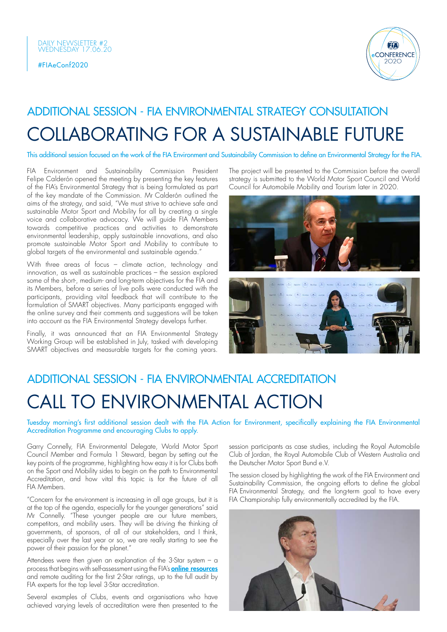

## COLLABORATING FOR A SUSTAINABLE FUTURE ADDITIONAL SESSION - FIA ENVIRONMENTAL STRATEGY CONSULTATION

This additional session focused on the work of the FIA Environment and Sustainability Commission to define an Environmental Strategy for the FIA.

FIA Environment and Sustainability Commission President Felipe Calderón opened the meeting by presenting the key features of the FIA's Environmental Strategy that is being formulated as part of the key mandate of the Commission. Mr Calderón outlined the aims of the strategy, and said, "We must strive to achieve safe and sustainable Motor Sport and Mobility for all by creating a single voice and collaborative advocacy. We will guide FIA Members towards competitive practices and activities to demonstrate environmental leadership, apply sustainable innovations, and also promote sustainable Motor Sport and Mobility to contribute to global targets of the environmental and sustainable agenda."

With three areas of focus – climate action, technology and innovation, as well as sustainable practices – the session explored some of the short-, medium- and long-term objectives for the FIA and its Members, before a series of live polls were conducted with the participants, providing vital feedback that will contribute to the formulation of SMART objectives. Many participants engaged with the online survey and their comments and suggestions will be taken into account as the FIA Environmental Strategy develops further.

Finally, it was announced that an FIA Environmental Strategy Working Group will be established in July, tasked with developing SMART objectives and measurable targets for the coming years.

The project will be presented to the Commission before the overall strategy is submitted to the World Motor Sport Council and World Council for Automobile Mobility and Tourism later in 2020.



## CALL TO ENVIRONMENTAL ACTION ADDITIONAL SESSION - FIA ENVIRONMENTAL ACCREDITATION

Tuesday morning's first additional session dealt with the FIA Action for Environment, specifically explaining the FIA Environmental Accreditation Programme and encouraging Clubs to apply.

Garry Connelly, FIA Environmental Delegate, World Motor Sport Council Member and Formula 1 Steward, began by setting out the key points of the programme, highlighting how easy it is for Clubs both on the Sport and Mobility sides to begin on the path to Environmental Accreditation, and how vital this topic is for the future of all FIA Members.

"Concern for the environment is increasing in all age groups, but it is at the top of the agenda, especially for the younger generations" said Mr Connelly. "These younger people are our future members, competitors, and mobility users. They will be driving the thinking of governments, of sponsors, of all of our stakeholders, and I think, especially over the last year or so, we are really starting to see the power of their passion for the planet."

Attendees were then given an explanation of the 3-Star system – a process that begins with self-assessment using the FIA's **online [resources](https://www.fia.com/action-environment)** and remote auditing for the first 2-Star ratings, up to the full audit by FIA experts for the top level 3-Star accreditation.

Several examples of Clubs, events and organisations who have achieved varying levels of accreditation were then presented to the session participants as case studies, including the Royal Automobile Club of Jordan, the Royal Automobile Club of Western Australia and the Deutscher Motor Sport Bund e.V.

The session closed by highlighting the work of the FIA Environment and Sustainability Commission, the ongoing efforts to define the global FIA Environmental Strategy, and the long-term goal to have every FIA Championship fully environmentally accredited by the FIA.

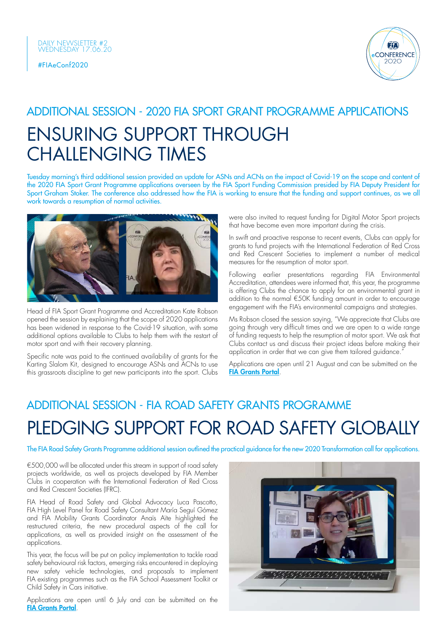

### ENSURING SUPPORT THROUGH CHALLENGING TIMES ADDITIONAL SESSION - 2020 FIA SPORT GRANT PROGRAMME APPLICATIONS

Tuesday morning's third additional session provided an update for ASNs and ACNs on the impact of Covid-19 on the scope and content of the 2020 FIA Sport Grant Programme applications overseen by the FIA Sport Funding Commission presided by FIA Deputy President for Sport Graham Stoker. The conference also addressed how the FIA is working to ensure that the funding and support continues, as we all work towards a resumption of normal activities.



Head of FIA Sport Grant Programme and Accreditation Kate Robson opened the session by explaining that the scope of 2020 applications has been widened in response to the Covid-19 situation, with some additional options available to Clubs to help them with the restart of motor sport and with their recovery planning.

Specific note was paid to the continued availability of grants for the Karting Slalom Kit, designed to encourage ASNs and ACNs to use this grassroots discipline to get new participants into the sport. Clubs were also invited to request funding for Digital Motor Sport projects that have become even more important during the crisis.

In swift and proactive response to recent events, Clubs can apply for grants to fund projects with the International Federation of Red Cross and Red Crescent Societies to implement a number of medical measures for the resumption of motor sport.

Following earlier presentations regarding FIA Environmental Accreditation, attendees were informed that, this year, the programme is offering Clubs the chance to apply for an environmental grant in addition to the normal €50K funding amount in order to encourage engagement with the FIA's environmental campaigns and strategies.

Ms Robson closed the session saying, "We appreciate that Clubs are going through very difficult times and we are open to a wide range of funding requests to help the resumption of motor sport. We ask that Clubs contact us and discuss their project ideas before making their application in order that we can give them tailored guidance."

Applications are open until 21 August and can be submitted on the [FIA Grants Portal](grants.fia.com/registration.aspx).

## PLEDGING SUPPORT FOR ROAD SAFETY GLOBALLY ADDITIONAL SESSION - FIA ROAD SAFETY GRANTS PROGRAMME

The FIA Road Safety Grants Programme additional session outlined the practical guidance for the new 2020 Transformation call for applications.

€500,000 will be allocated under this stream in support of road safety projects worldwide, as well as projects developed by FIA Member Clubs in cooperation with the International Federation of Red Cross and Red Crescent Societies (IFRC).

FIA Head of Road Safety and Global Advocacy Luca Pascotto, FIA High Level Panel for Road Safety Consultant María Seguí Gómez and FIA Mobility Grants Coordinator Anaïs Aïte highlighted the restructured criteria, the new procedural aspects of the call for applications, as well as provided insight on the assessment of the applications.

This year, the focus will be put on policy implementation to tackle road safety behavioural risk factors, emerging risks encountered in deploying new safety vehicle technologies, and proposals to implement FIA existing programmes such as the FIA School Assessment Toolkit or Child Safety in Cars initiative.

Applications are open until 6 July and can be submitted on the FIA [Grants Portal](https://grants.fia.com/).